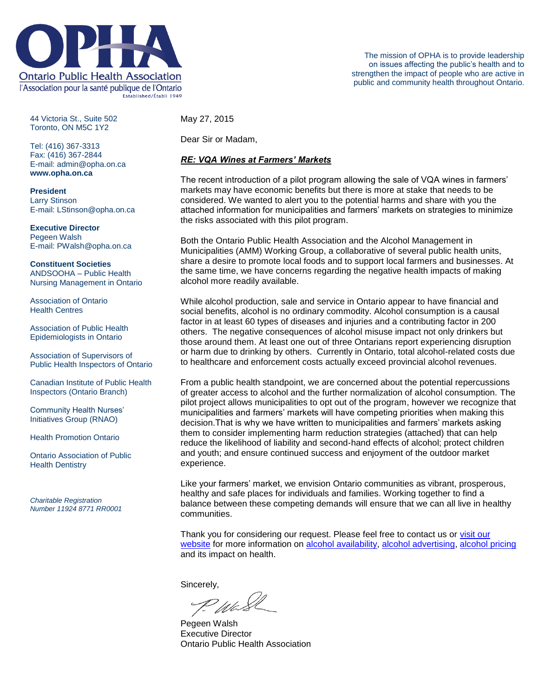

44 Victoria St., Suite 502 Toronto, ON M5C 1Y2

Tel: (416) 367-3313 Fax: (416) 367-2844 E-mail: admin@opha.on.ca **www.opha.on.ca**

**President** Larry Stinson E-mail: LStinson@opha.on.ca

**Executive Director** Pegeen Walsh E-mail: PWalsh@opha.on.ca

**Constituent Societies** ANDSOOHA – Public Health Nursing Management in Ontario

Association of Ontario Health Centres

Association of Public Health Epidemiologists in Ontario

Association of Supervisors of Public Health Inspectors of Ontario

Canadian Institute of Public Health Inspectors (Ontario Branch)

Community Health Nurses' Initiatives Group (RNAO)

Health Promotion Ontario

Ontario Association of Public Health Dentistry

*Charitable Registration Number 11924 8771 RR0001* May 27, 2015

Dear Sir or Madam,

#### *RE: VQA Wines at Farmers' Markets*

The recent introduction of a pilot program allowing the sale of VQA wines in farmers' markets may have economic benefits but there is more at stake that needs to be considered. We wanted to alert you to the potential harms and share with you the attached information for municipalities and farmers' markets on strategies to minimize the risks associated with this pilot program.

Both the Ontario Public Health Association and the Alcohol Management in Municipalities (AMM) Working Group, a collaborative of several public health units, share a desire to promote local foods and to support local farmers and businesses. At the same time, we have concerns regarding the negative health impacts of making alcohol more readily available.

While alcohol production, sale and service in Ontario appear to have financial and social benefits, alcohol is no ordinary commodity. Alcohol consumption is a causal factor in at least 60 types of diseases and injuries and a contributing factor in 200 others. The negative consequences of alcohol misuse impact not only drinkers but those around them. At least one out of three Ontarians report experiencing disruption or harm due to drinking by others. Currently in Ontario, total alcohol-related costs due to healthcare and enforcement costs actually exceed provincial alcohol revenues.

From a public health standpoint, we are concerned about the potential repercussions of greater access to alcohol and the further normalization of alcohol consumption. The pilot project allows municipalities to opt out of the program, however we recognize that municipalities and farmers' markets will have competing priorities when making this decision.That is why we have written to municipalities and farmers' markets asking them to consider implementing harm reduction strategies (attached) that can help reduce the likelihood of liability and second-hand effects of alcohol; protect children and youth; and ensure continued success and enjoyment of the outdoor market experience.

Like your farmers' market, we envision Ontario communities as vibrant, prosperous, healthy and safe places for individuals and families. Working together to find a balance between these competing demands will ensure that we can all live in healthy communities.

Thank you for considering our request. Please feel free to contact us or [visit our](http://opha.on.ca/Home.aspx)  [website](http://opha.on.ca/Home.aspx) for more information on [alcohol availability,](http://opha.on.ca/getmedia/294567bd-bfb0-4deb-9270-7211952b8fe5/Controlling-Physical-Availability-of-Alcohol-OPHA-Issue-Series-2015.pdf.aspx) [alcohol advertising,](http://opha.on.ca/getmedia/23a643ff-6899-4846-920f-7440631c92ac/Marketing-Advertising-Alcohol-OPHA-Issue-Series-2015.pdf.aspx) [alcohol pricing](http://opha.on.ca/getmedia/b96fa294-48c8-4e4e-b328-e93b74c9b5df/Alcohol-Pricing-OPHA-Issue-Series-2015.pdf.aspx) and its impact on health.

Sincerely,

Wi

Pegeen Walsh Executive Director Ontario Public Health Association

The mission of OPHA is to provide leadership on issues affecting the public's health and to strengthen the impact of people who are active in public and community health throughout Ontario.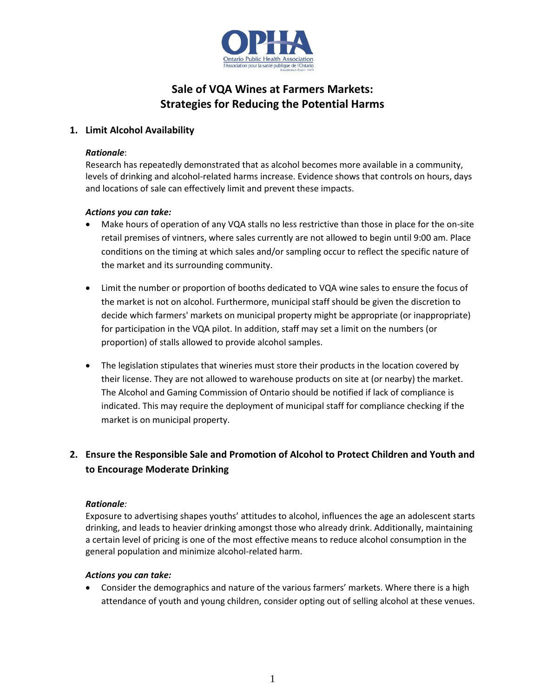

# **Sale of VQA Wines at Farmers Markets: Strategies for Reducing the Potential Harms**

## **1. Limit Alcohol Availability**

#### *Rationale*:

Research has repeatedly demonstrated that as alcohol becomes more available in a community, levels of drinking and alcohol-related harms increase. Evidence shows that controls on hours, days and locations of sale can effectively limit and prevent these impacts.

## *Actions you can take:*

- Make hours of operation of any VQA stalls no less restrictive than those in place for the on-site retail premises of vintners, where sales currently are not allowed to begin until 9:00 am. Place conditions on the timing at which sales and/or sampling occur to reflect the specific nature of the market and its surrounding community.
- Limit the number or proportion of booths dedicated to VQA wine sales to ensure the focus of the market is not on alcohol. Furthermore, municipal staff should be given the discretion to decide which farmers' markets on municipal property might be appropriate (or inappropriate) for participation in the VQA pilot. In addition, staff may set a limit on the numbers (or proportion) of stalls allowed to provide alcohol samples.
- The legislation stipulates that wineries must store their products in the location covered by their license. They are not allowed to warehouse products on site at (or nearby) the market. The Alcohol and Gaming Commission of Ontario should be notified if lack of compliance is indicated. This may require the deployment of municipal staff for compliance checking if the market is on municipal property.

## **2. Ensure the Responsible Sale and Promotion of Alcohol to Protect Children and Youth and to Encourage Moderate Drinking**

## *Rationale:*

Exposure to advertising shapes youths' attitudes to alcohol, influences the age an adolescent starts drinking, and leads to heavier drinking amongst those who already drink. Additionally, maintaining a certain level of pricing is one of the most effective means to reduce alcohol consumption in the general population and minimize alcohol-related harm.

#### *Actions you can take:*

 Consider the demographics and nature of the various farmers' markets. Where there is a high attendance of youth and young children, consider opting out of selling alcohol at these venues.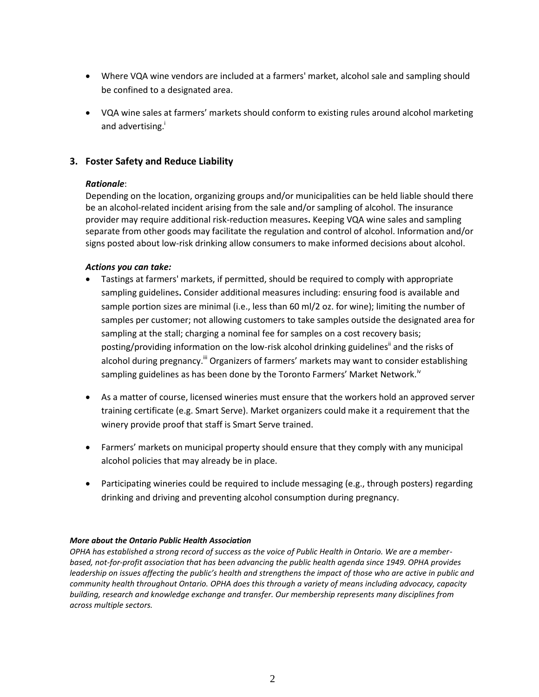- Where VQA wine vendors are included at a farmers' market, alcohol sale and sampling should be confined to a designated area.
- VQA wine sales at farmers' markets should conform to existing rules around alcohol marketing and advertising.<sup>1</sup>

## **3. Foster Safety and Reduce Liability**

#### *Rationale*:

Depending on the location, organizing groups and/or municipalities can be held liable should there be an alcohol-related incident arising from the sale and/or sampling of alcohol. The insurance provider may require additional risk-reduction measures**.** Keeping VQA wine sales and sampling separate from other goods may facilitate the regulation and control of alcohol. Information and/or signs posted about low-risk drinking allow consumers to make informed decisions about alcohol.

#### *Actions you can take:*

- Tastings at farmers' markets, if permitted, should be required to comply with appropriate sampling guidelines**.** Consider additional measures including: ensuring food is available and sample portion sizes are minimal (i.e., less than 60 ml/2 oz. for wine); limiting the number of samples per customer; not allowing customers to take samples outside the designated area for sampling at the stall; charging a nominal fee for samples on a cost recovery basis; posting/providing information on the low-risk alcohol drinking guidelines<sup>"</sup> and the risks of alcohol during pregnancy.<sup>"</sup> Organizers of farmers' markets may want to consider establishing sampling guidelines as has been done by the Toronto Farmers' Market Network.<sup>iv</sup>
- As a matter of course, licensed wineries must ensure that the workers hold an approved server training certificate (e.g. Smart Serve). Market organizers could make it a requirement that the winery provide proof that staff is Smart Serve trained.
- Farmers' markets on municipal property should ensure that they comply with any municipal alcohol policies that may already be in place.
- Participating wineries could be required to include messaging (e.g., through posters) regarding drinking and driving and preventing alcohol consumption during pregnancy.

#### *More about the Ontario Public Health Association*

*OPHA has established a strong record of success as the voice of Public Health in Ontario. We are a memberbased, not-for-profit association that has been advancing the public health agenda since 1949. OPHA provides leadership on issues affecting the public's health and strengthens the impact of those who are active in public and community health throughout Ontario. OPHA does this through a variety of means including advocacy, capacity building, research and knowledge exchange and transfer. Our membership represents many disciplines from across multiple sectors.*